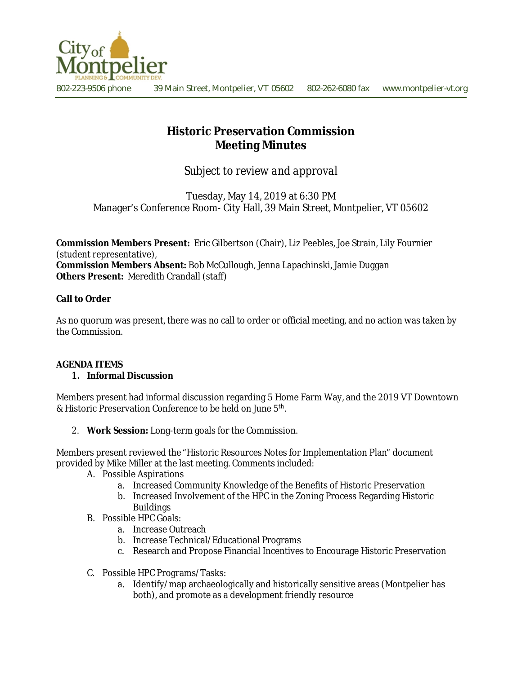

# **Historic Preservation Commission Meeting Minutes**

*Subject to review and approval*

Tuesday, May 14, 2019 at 6:30 PM Manager's Conference Room- City Hall, 39 Main Street, Montpelier, VT 05602

**Commission Members Present:** Eric Gilbertson (Chair), Liz Peebles, Joe Strain, Lily Fournier (student representative),

**Commission Members Absent:** Bob McCullough, Jenna Lapachinski, Jamie Duggan **Others Present:** Meredith Crandall (staff)

### **Call to Order**

As no quorum was present, there was no call to order or official meeting, and no action was taken by the Commission.

## **AGENDA ITEMS**

#### **1. Informal Discussion**

Members present had informal discussion regarding 5 Home Farm Way, and the 2019 VT Downtown & Historic Preservation Conference to be held on June 5<sup>th</sup>.

2. **Work Session:** Long-term goals for the Commission.

Members present reviewed the "Historic Resources Notes for Implementation Plan" document provided by Mike Miller at the last meeting. Comments included:

- A. Possible Aspirations
	- a. Increased Community Knowledge of the Benefits of Historic Preservation
	- b. Increased Involvement of the HPC in the Zoning Process Regarding Historic Buildings
- B. Possible HPC Goals:
	- a. Increase Outreach
	- b. Increase Technical/Educational Programs
	- c. Research and Propose Financial Incentives to Encourage Historic Preservation
- C. Possible HPC Programs/Tasks:
	- a. Identify/map archaeologically and historically sensitive areas (Montpelier has both), and promote as a development friendly resource